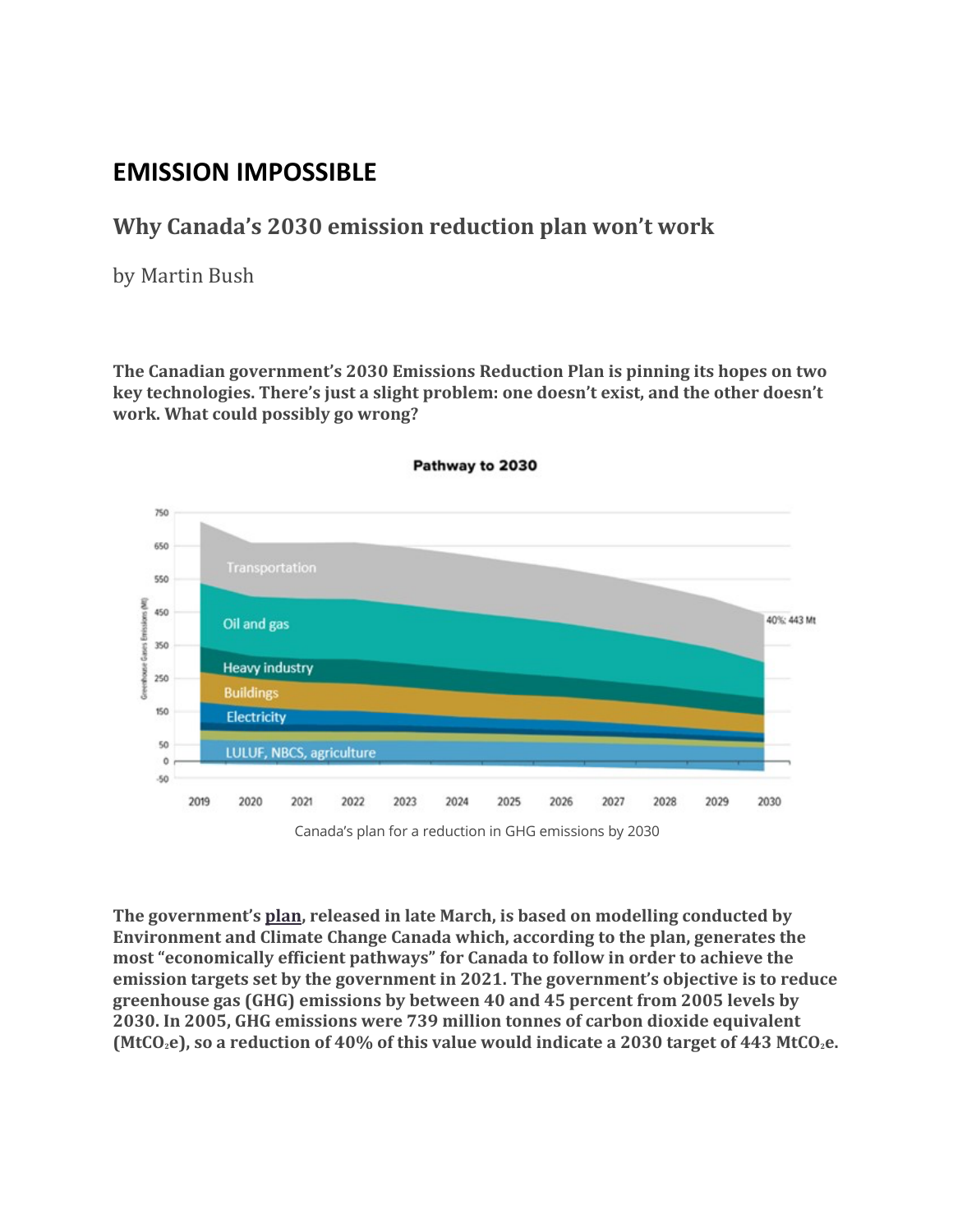# **EMISSION IMPOSSIBLE**

#### **Why Canada's 2030 emission reduction plan won't work**

by Martin Bush

**The Canadian government's 2030 Emissions Reduction Plan is pinning its hopes on two key technologies. There's just a slight problem: one doesn't exist, and the other doesn't work. What could possibly go wrong?**



Pathway to 2030

Canada's plan for a reduction in GHG emissions by 2030

**The government's plan, released in late March, is based on modelling conducted by Environment and Climate Change Canada which, according to the plan, generates the most "economically efficient pathways" for Canada to follow in order to achieve the emission targets set by the government in 2021. The government's objective is to reduce greenhouse gas (GHG) emissions by between 40 and 45 percent from 2005 levels by 2030. In 2005, GHG emissions were 739 million tonnes of carbon dioxide equivalent (MtCO2e), so a reduction of 40% of this value would indicate a 2030 target of 443 MtCO2e.**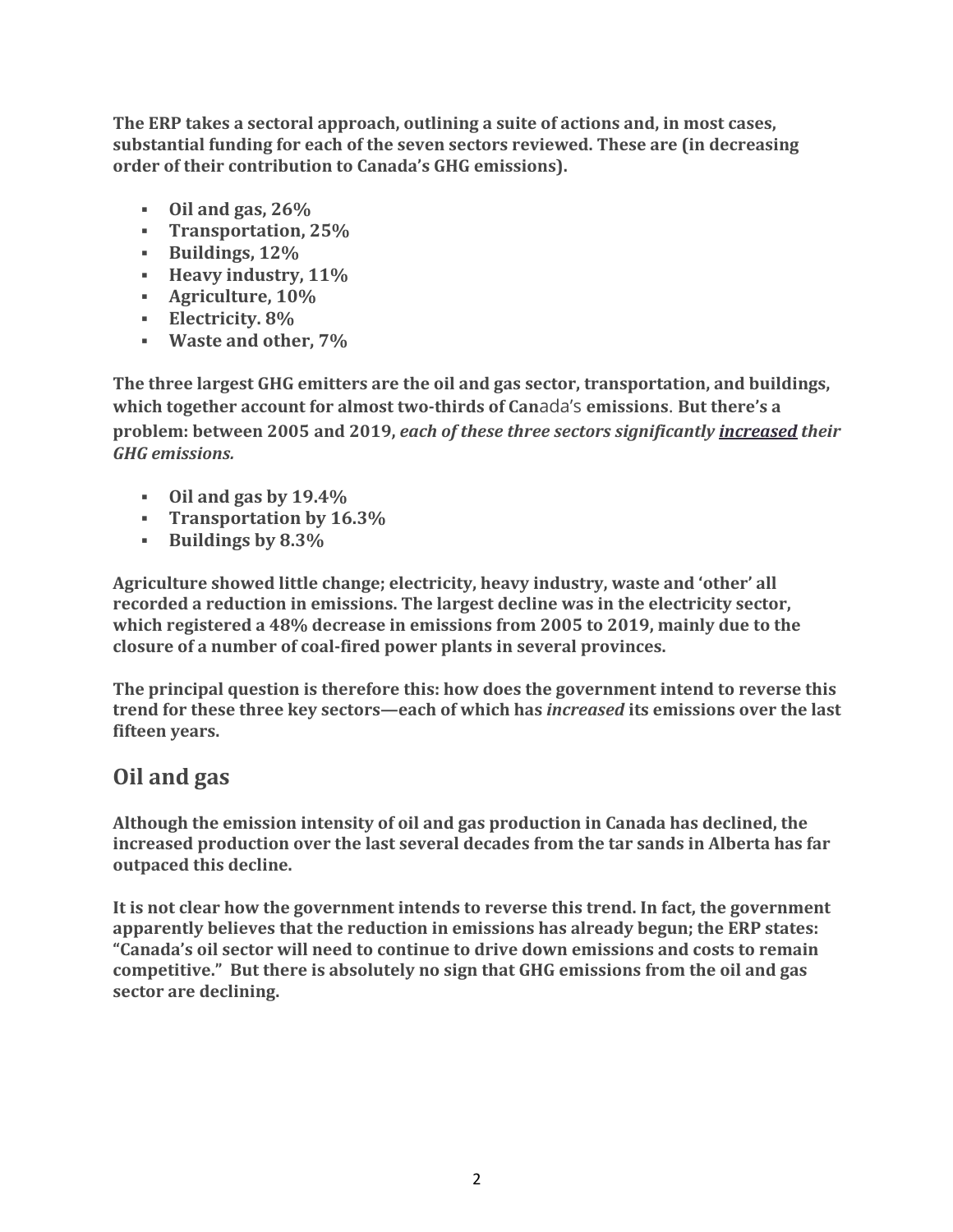**The ERP takes a sectoral approach, outlining a suite of actions and, in most cases, substantial funding for each of the seven sectors reviewed. These are (in decreasing order of their contribution to Canada's GHG emissions).**

- § **Oil and gas, 26%**
- § **Transportation, 25%**
- § **Buildings, 12%**
- § **Heavy industry, 11%**
- § **Agriculture, 10%**
- § **Electricity. 8%**
- § **Waste and other, 7%**

**The three largest GHG emitters are the oil and gas sector, transportation, and buildings, which together account for almost two-thirds of Can**ada's **emissions**. **But there's a problem: between 2005 and 2019,** *each of these three sectors significantly increased their GHG emissions.*

- § **Oil and gas by 19.4%**
- § **Transportation by 16.3%**
- § **Buildings by 8.3%**

**Agriculture showed little change; electricity, heavy industry, waste and 'other' all recorded a reduction in emissions. The largest decline was in the electricity sector, which registered a 48% decrease in emissions from 2005 to 2019, mainly due to the closure of a number of coal-fired power plants in several provinces.**

**The principal question is therefore this: how does the government intend to reverse this trend for these three key sectors—each of which has** *increased* **its emissions over the last fifteen years.**

## **Oil and gas**

**Although the emission intensity of oil and gas production in Canada has declined, the increased production over the last several decades from the tar sands in Alberta has far outpaced this decline.**

**It is not clear how the government intends to reverse this trend. In fact, the government apparently believes that the reduction in emissions has already begun; the ERP states: "Canada's oil sector will need to continue to drive down emissions and costs to remain competitive." But there is absolutely no sign that GHG emissions from the oil and gas sector are declining.**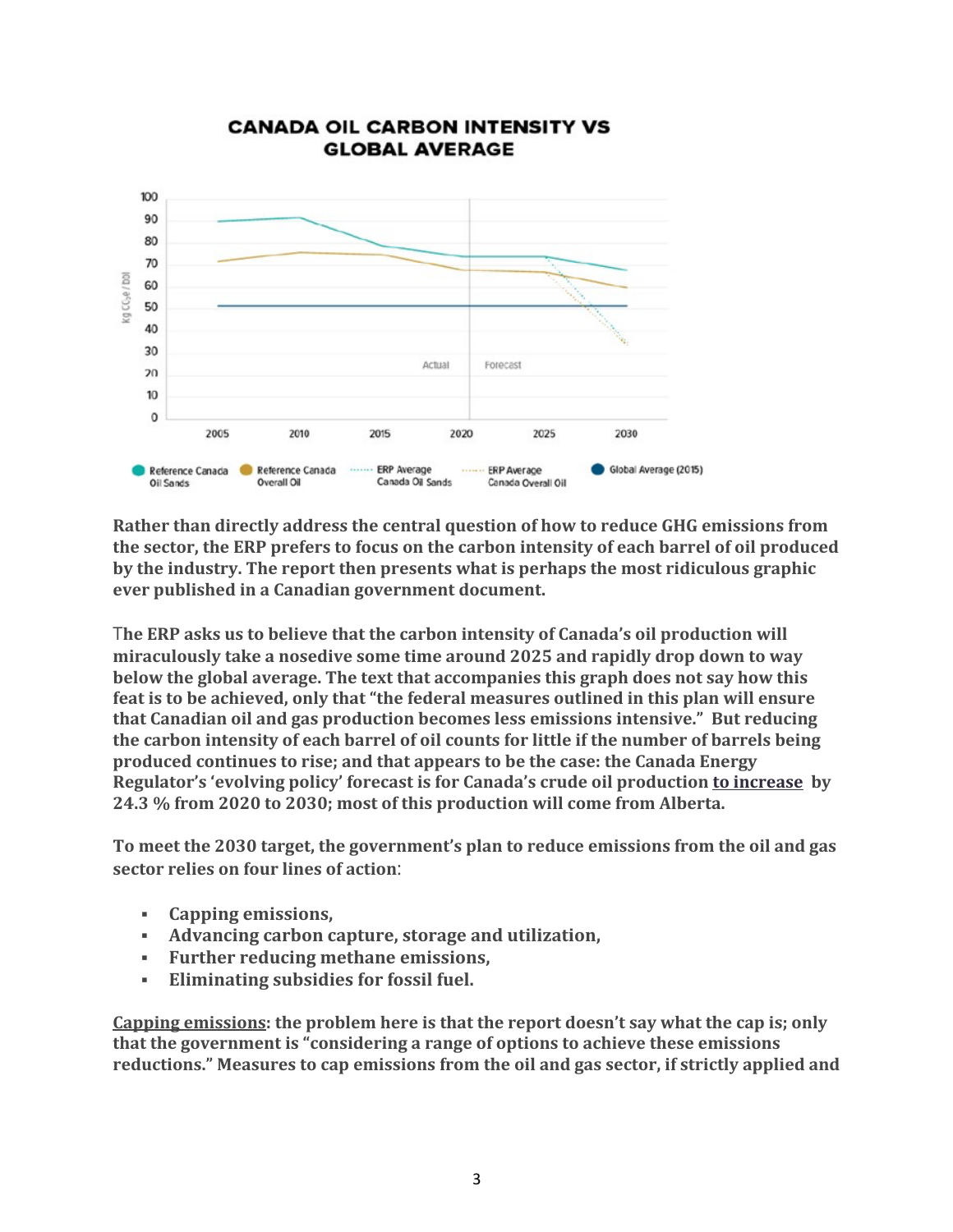

#### **CANADA OIL CARBON INTENSITY VS GLOBAL AVERAGE**

**Rather than directly address the central question of how to reduce GHG emissions from the sector, the ERP prefers to focus on the carbon intensity of each barrel of oil produced by the industry. The report then presents what is perhaps the most ridiculous graphic ever published in a Canadian government document.**

T**he ERP asks us to believe that the carbon intensity of Canada's oil production will miraculously take a nosedive some time around 2025 and rapidly drop down to way below the global average. The text that accompanies this graph does not say how this feat is to be achieved, only that "the federal measures outlined in this plan will ensure that Canadian oil and gas production becomes less emissions intensive." But reducing the carbon intensity of each barrel of oil counts for little if the number of barrels being produced continues to rise; and that appears to be the case: the Canada Energy Regulator's 'evolving policy' forecast is for Canada's crude oil production to increase by 24.3 % from 2020 to 2030; most of this production will come from Alberta.**

**To meet the 2030 target, the government's plan to reduce emissions from the oil and gas sector relies on four lines of action**:

- § **Capping emissions,**
- § **Advancing carbon capture, storage and utilization,**
- § **Further reducing methane emissions,**
- § **Eliminating subsidies for fossil fuel.**

**Capping emissions: the problem here is that the report doesn't say what the cap is; only that the government is "considering a range of options to achieve these emissions reductions." Measures to cap emissions from the oil and gas sector, if strictly applied and**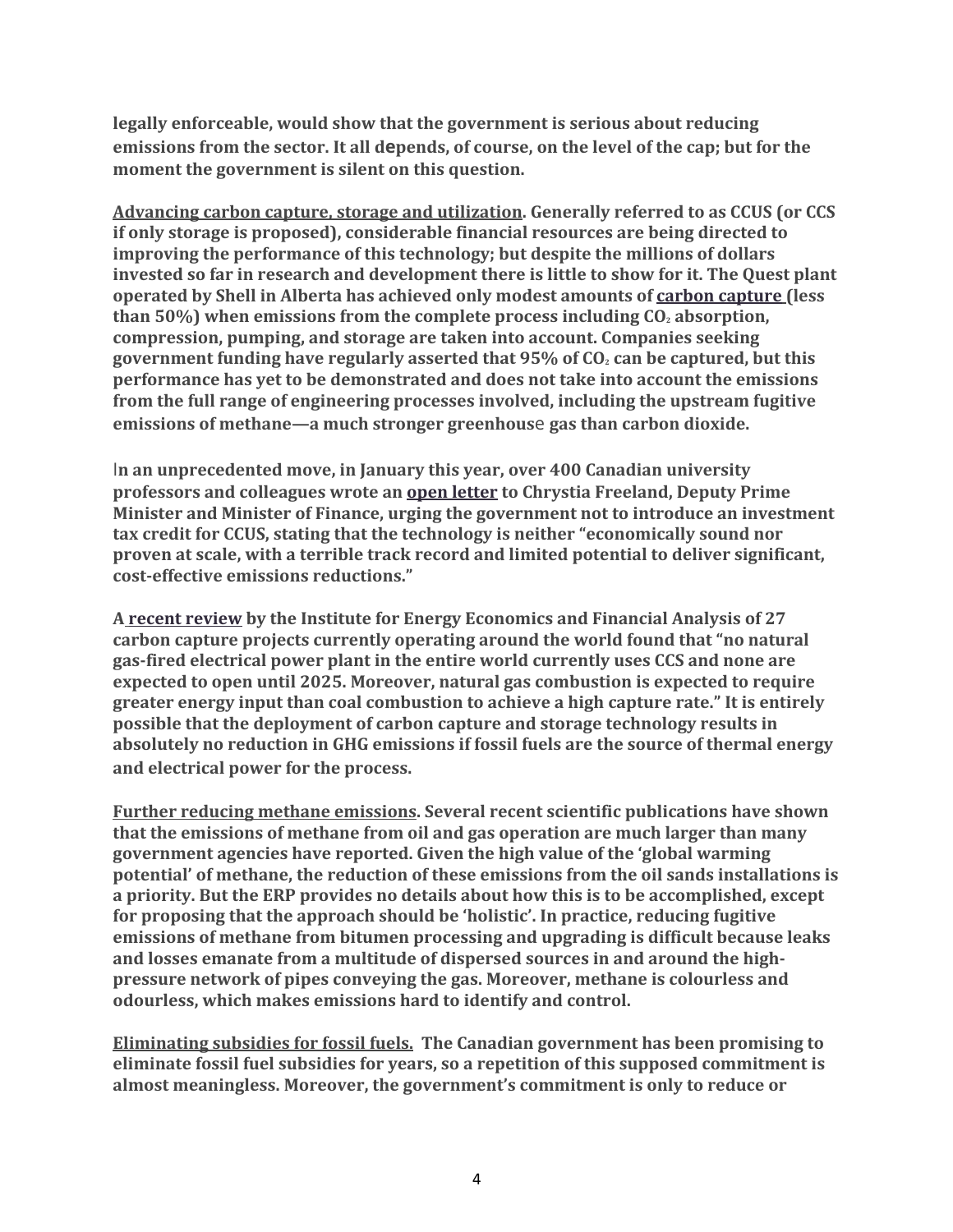**legally enforceable, would show that the government is serious about reducing** emissions from the sector. It all depends, of course, on the level of the cap; but for the **moment the government is silent on this question.**

**Advancing carbon capture, storage and utilization. Generally referred to as CCUS (or CCS if only storage is proposed), considerable financial resources are being directed to improving the performance of this technology; but despite the millions of dollars invested so far in research and development there is little to show for it. The Quest plant operated by Shell in Alberta has achieved only modest amounts of carbon capture (less than** 50%) when emissions from the complete process including  $CO<sub>2</sub>$  absorption, **compression, pumping, and storage are taken into account. Companies seeking government funding have regularly asserted that 95% of CO2 can be captured, but this performance has yet to be demonstrated and does not take into account the emissions from the full range of engineering processes involved, including the upstream fugitive emissions of methane—a much stronger greenhous**e **gas than carbon dioxide.**

I**n an unprecedented move, in January this year, over 400 Canadian university professors and colleagues wrote an open letter to Chrystia Freeland, Deputy Prime Minister and Minister of Finance, urging the government not to introduce an investment tax credit for CCUS, stating that the technology is neither "economically sound nor proven at scale, with a terrible track record and limited potential to deliver significant, cost-effective emissions reductions."**

**A recent review by the Institute for Energy Economics and Financial Analysis of 27 carbon capture projects currently operating around the world found that "no natural gas-fired electrical power plant in the entire world currently uses CCS and none are expected to open until 2025. Moreover, natural gas combustion is expected to require greater energy input than coal combustion to achieve a high capture rate." It is entirely possible that the deployment of carbon capture and storage technology results in absolutely no reduction in GHG emissions if fossil fuels are the source of thermal energy and electrical power for the process.**

**Further reducing methane emissions. Several recent scientific publications have shown that the emissions of methane from oil and gas operation are much larger than many government agencies have reported. Given the high value of the 'global warming potential' of methane, the reduction of these emissions from the oil sands installations is a priority. But the ERP provides no details about how this is to be accomplished, except for proposing that the approach should be 'holistic'. In practice, reducing fugitive emissions of methane from bitumen processing and upgrading is difficult because leaks and losses emanate from a multitude of dispersed sources in and around the highpressure network of pipes conveying the gas. Moreover, methane is colourless and odourless, which makes emissions hard to identify and control.**

**Eliminating subsidies for fossil fuels. The Canadian government has been promising to eliminate fossil fuel subsidies for years, so a repetition of this supposed commitment is almost meaningless. Moreover, the government's commitment is only to reduce or**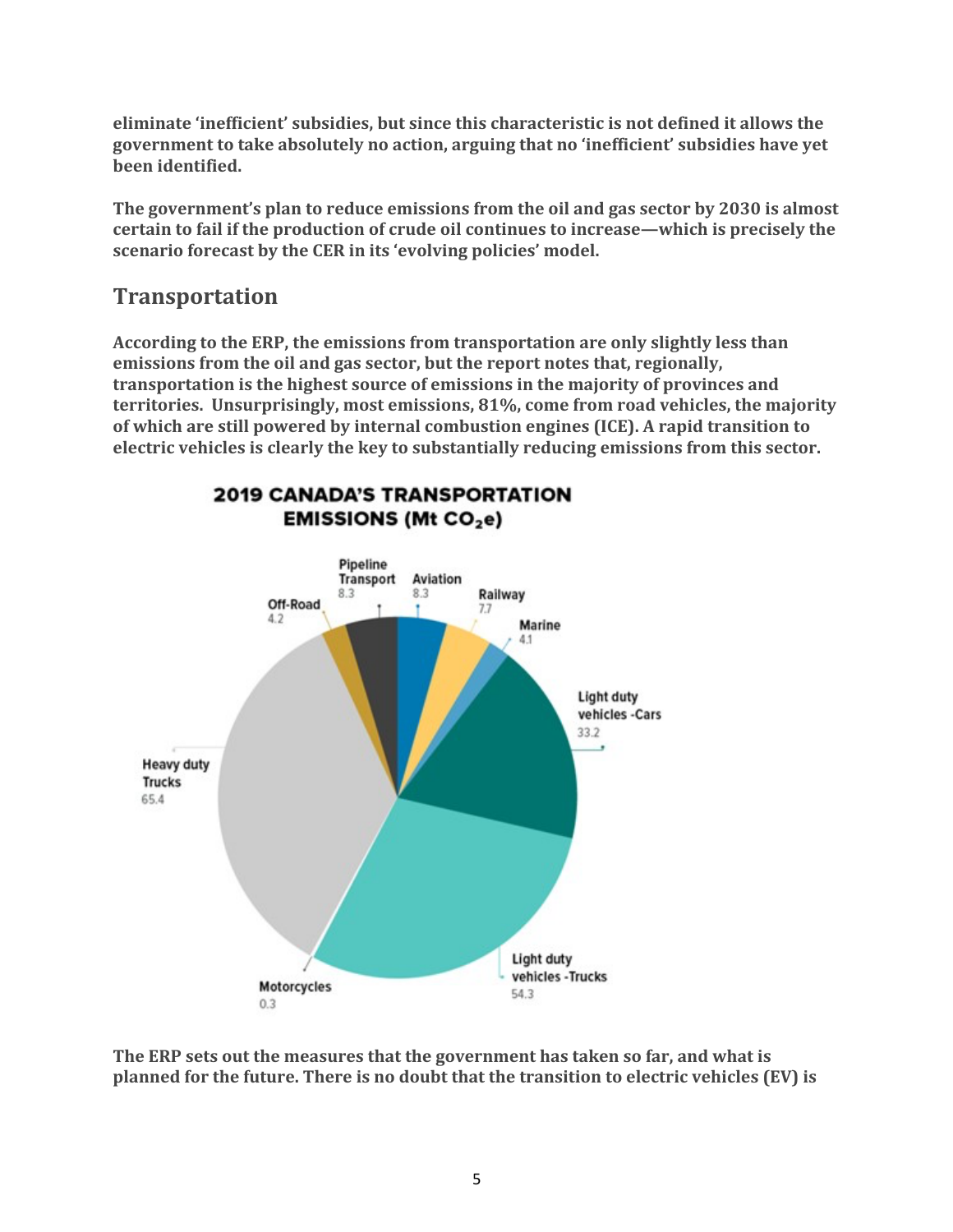**eliminate 'inefficient' subsidies, but since this characteristic is not defined it allows the government to take absolutely no action, arguing that no 'inefficient' subsidies have yet been identified.**

**The government's plan to reduce emissions from the oil and gas sector by 2030 is almost certain to fail if the production of crude oil continues to increase—which is precisely the scenario forecast by the CER in its 'evolving policies' model.**

### **Transportation**

**According to the ERP, the emissions from transportation are only slightly less than emissions from the oil and gas sector, but the report notes that, regionally, transportation is the highest source of emissions in the majority of provinces and territories. Unsurprisingly, most emissions, 81%, come from road vehicles, the majority of which are still powered by internal combustion engines (ICE). A rapid transition to electric vehicles is clearly the key to substantially reducing emissions from this sector.**



**2019 CANADA'S TRANSPORTATION EMISSIONS (Mt CO<sub>2</sub>e)** 

**The ERP sets out the measures that the government has taken so far, and what is planned for the future. There is no doubt that the transition to electric vehicles (EV) is**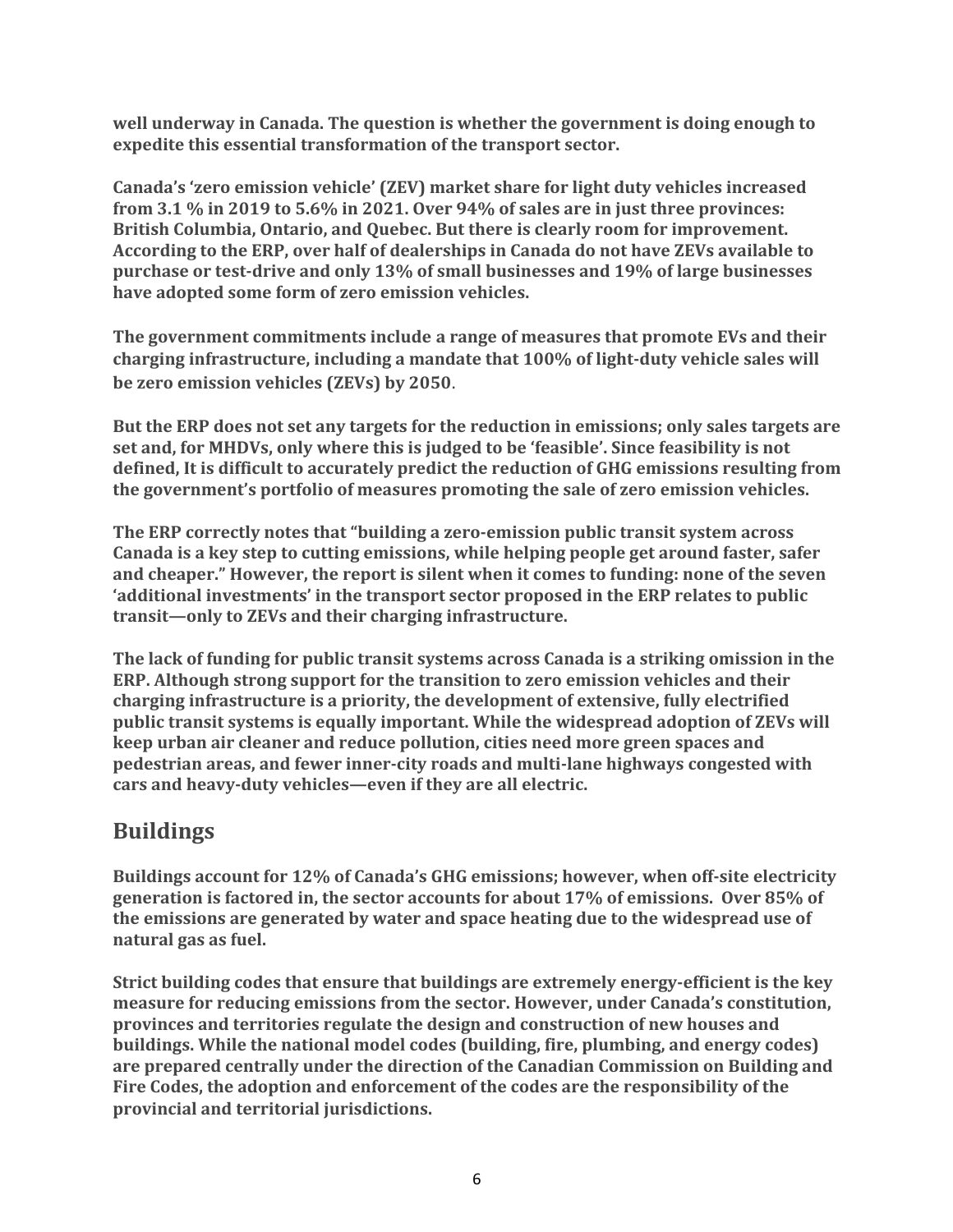**well underway in Canada. The question is whether the government is doing enough to expedite this essential transformation of the transport sector.**

**Canada's 'zero emission vehicle' (ZEV) market share for light duty vehicles increased from 3.1 % in 2019 to 5.6% in 2021. Over 94% of sales are in just three provinces: British Columbia, Ontario, and Quebec. But there is clearly room for improvement. According to the ERP, over half of dealerships in Canada do not have ZEVs available to purchase or test-drive and only 13% of small businesses and 19% of large businesses have adopted some form of zero emission vehicles.**

**The government commitments include a range of measures that promote EVs and their charging infrastructure, including a mandate that 100% of light-duty vehicle sales will be zero emission vehicles (ZEVs) by 2050**.

**But the ERP does not set any targets for the reduction in emissions; only sales targets are set and, for MHDVs, only where this is judged to be 'feasible'. Since feasibility is not defined, It is difficult to accurately predict the reduction of GHG emissions resulting from the government's portfolio of measures promoting the sale of zero emission vehicles.**

**The ERP correctly notes that "building a zero-emission public transit system across Canada is a key step to cutting emissions, while helping people get around faster, safer and cheaper." However, the report is silent when it comes to funding: none of the seven 'additional investments' in the transport sector proposed in the ERP relates to public transit—only to ZEVs and their charging infrastructure.**

**The lack of funding for public transit systems across Canada is a striking omission in the ERP. Although strong support for the transition to zero emission vehicles and their charging infrastructure is a priority, the development of extensive, fully electrified public transit systems is equally important. While the widespread adoption of ZEVs will keep urban air cleaner and reduce pollution, cities need more green spaces and pedestrian areas, and fewer inner-city roads and multi-lane highways congested with cars and heavy-duty vehicles—even if they are all electric.**

## **Buildings**

**Buildings account for 12% of Canada's GHG emissions; however, when off-site electricity generation is factored in, the sector accounts for about 17% of emissions. Over 85% of the emissions are generated by water and space heating due to the widespread use of natural gas as fuel.**

**Strict building codes that ensure that buildings are extremely energy-efficient is the key measure for reducing emissions from the sector. However, under Canada's constitution, provinces and territories regulate the design and construction of new houses and buildings. While the national model codes (building, fire, plumbing, and energy codes) are prepared centrally under the direction of the Canadian Commission on Building and Fire Codes, the adoption and enforcement of the codes are the responsibility of the provincial and territorial jurisdictions.**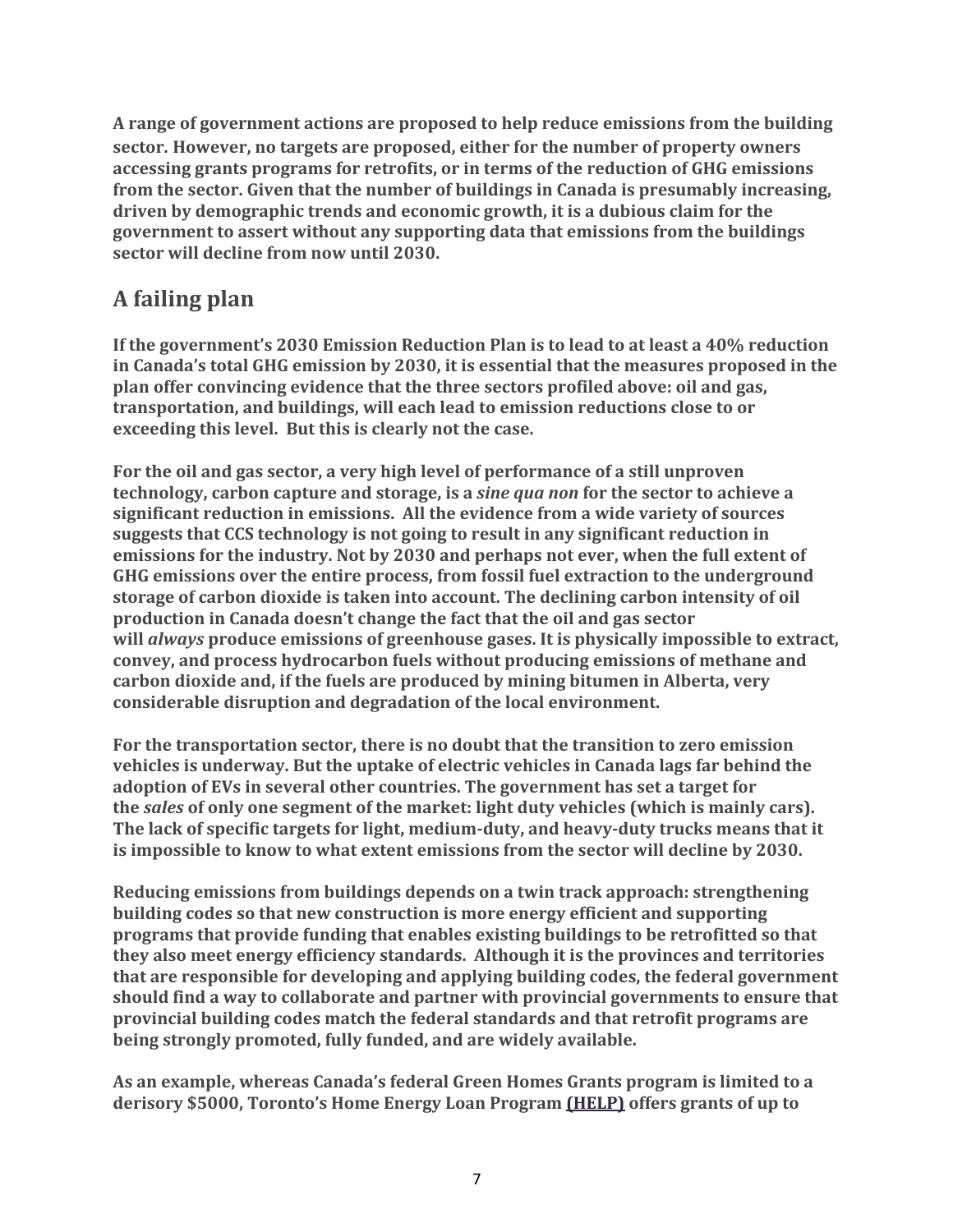**A range of government actions are proposed to help reduce emissions from the building sector. However, no targets are proposed, either for the number of property owners accessing grants programs for retrofits, or in terms of the reduction of GHG emissions from the sector. Given that the number of buildings in Canada is presumably increasing, driven by demographic trends and economic growth, it is a dubious claim for the government to assert without any supporting data that emissions from the buildings sector will decline from now until 2030.**

# **A failing plan**

**If the government's 2030 Emission Reduction Plan is to lead to at least a 40% reduction in Canada's total GHG emission by 2030, it is essential that the measures proposed in the plan offer convincing evidence that the three sectors profiled above: oil and gas, transportation, and buildings, will each lead to emission reductions close to or exceeding this level. But this is clearly not the case.**

**For the oil and gas sector, a very high level of performance of a still unproven technology, carbon capture and storage, is a** *sine qua non* **for the sector to achieve a significant reduction in emissions. All the evidence from a wide variety of sources suggests that CCS technology is not going to result in any significant reduction in emissions for the industry. Not by 2030 and perhaps not ever, when the full extent of GHG emissions over the entire process, from fossil fuel extraction to the underground storage of carbon dioxide is taken into account. The declining carbon intensity of oil production in Canada doesn't change the fact that the oil and gas sector will** *always* **produce emissions of greenhouse gases. It is physically impossible to extract, convey, and process hydrocarbon fuels without producing emissions of methane and carbon dioxide and, if the fuels are produced by mining bitumen in Alberta, very considerable disruption and degradation of the local environment.**

**For the transportation sector, there is no doubt that the transition to zero emission vehicles is underway. But the uptake of electric vehicles in Canada lags far behind the adoption of EVs in several other countries. The government has set a target for the** *sales* **of only one segment of the market: light duty vehicles (which is mainly cars). The lack of specific targets for light, medium-duty, and heavy-duty trucks means that it is impossible to know to what extent emissions from the sector will decline by 2030.**

**Reducing emissions from buildings depends on a twin track approach: strengthening building codes so that new construction is more energy efficient and supporting programs that provide funding that enables existing buildings to be retrofitted so that they also meet energy efficiency standards. Although it is the provinces and territories that are responsible for developing and applying building codes, the federal government should find a way to collaborate and partner with provincial governments to ensure that provincial building codes match the federal standards and that retrofit programs are being strongly promoted, fully funded, and are widely available.**

**As an example, whereas Canada's federal Green Homes Grants program is limited to a derisory \$5000, Toronto's Home Energy Loan Program (HELP) offers grants of up to**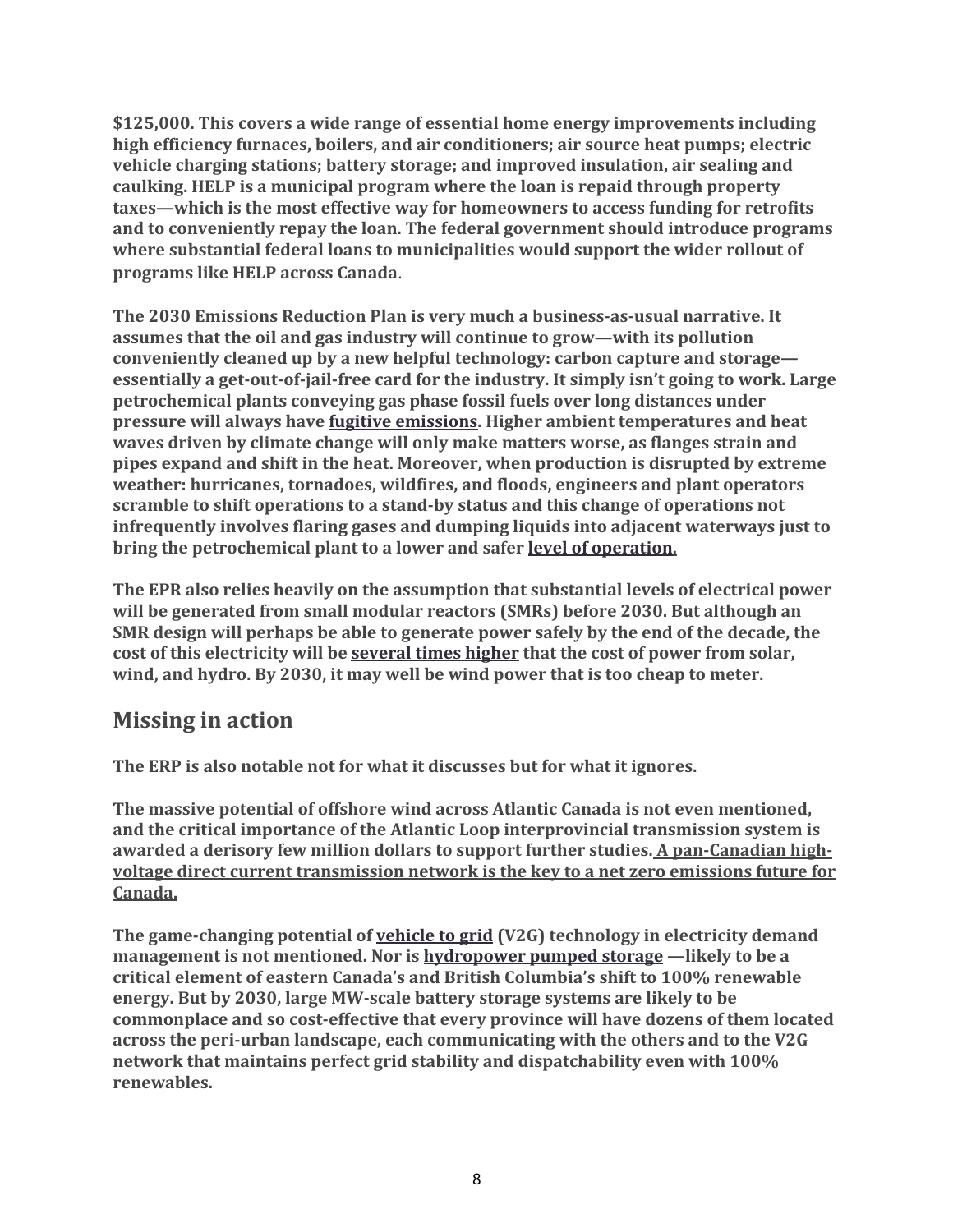**\$125,000. This covers a wide range of essential home energy improvements including high efficiency furnaces, boilers, and air conditioners; air source heat pumps; electric vehicle charging stations; battery storage; and improved insulation, air sealing and caulking. HELP is a municipal program where the loan is repaid through property taxes—which is the most effective way for homeowners to access funding for retrofits and to conveniently repay the loan. The federal government should introduce programs where substantial federal loans to municipalities would support the wider rollout of programs like HELP across Canada**.

**The 2030 Emissions Reduction Plan is very much a business-as-usual narrative. It assumes that the oil and gas industry will continue to grow—with its pollution conveniently cleaned up by a new helpful technology: carbon capture and storage essentially a get-out-of-jail-free card for the industry. It simply isn't going to work. Large petrochemical plants conveying gas phase fossil fuels over long distances under pressure will always have fugitive emissions. Higher ambient temperatures and heat waves driven by climate change will only make matters worse, as flanges strain and pipes expand and shift in the heat. Moreover, when production is disrupted by extreme weather: hurricanes, tornadoes, wildfires, and floods, engineers and plant operators scramble to shift operations to a stand-by status and this change of operations not infrequently involves flaring gases and dumping liquids into adjacent waterways just to bring the petrochemical plant to a lower and safer level of operation.**

**The EPR also relies heavily on the assumption that substantial levels of electrical power will be generated from small modular reactors (SMRs) before 2030. But although an SMR design will perhaps be able to generate power safely by the end of the decade, the cost of this electricity will be several times higher that the cost of power from solar, wind, and hydro. By 2030, it may well be wind power that is too cheap to meter.**

#### **Missing in action**

**The ERP is also notable not for what it discusses but for what it ignores.**

**The massive potential of offshore wind across Atlantic Canada is not even mentioned, and the critical importance of the Atlantic Loop interprovincial transmission system is awarded a derisory few million dollars to support further studies. A pan-Canadian highvoltage direct current transmission network is the key to a net zero emissions future for Canada.**

**The game-changing potential of vehicle to grid (V2G) technology in electricity demand management is not mentioned. Nor is hydropower pumped storage —likely to be a critical element of eastern Canada's and British Columbia's shift to 100% renewable energy. But by 2030, large MW-scale battery storage systems are likely to be commonplace and so cost-effective that every province will have dozens of them located across the peri-urban landscape, each communicating with the others and to the V2G network that maintains perfect grid stability and dispatchability even with 100% renewables.**